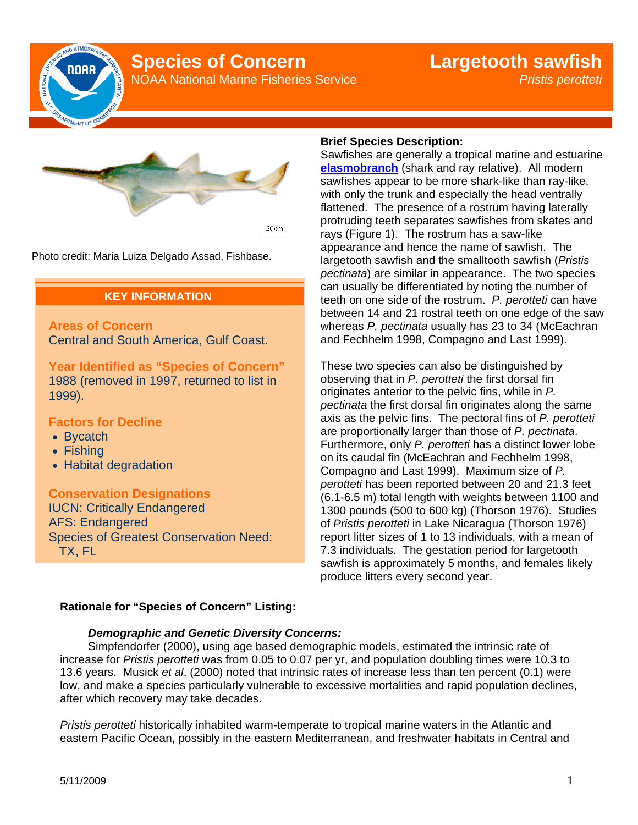

# **Species of Concern**

NOAA National Marine Fisheries Service

# **Largetooth sawfish** *Pristis perotteti*



Photo credit: Maria Luiza Delgado Assad, Fishbase.

# **KEY INFORMATION**

**Areas of Concern**  Central and South America, Gulf Coast.

**Year Identified as "Species of Concern"**  1988 (removed in 1997, returned to list in 1999).

#### **Factors for Decline**

- Bycatch
- Fishing
- Habitat degradation

**Conservation Designations**  IUCN: Critically Endangered AFS: Endangered Species of Greatest Conservation Need: TX, FL

## **Brief Species Description:**

Sawfishes are generally a tropical marine and estuarine **elasmobranch** (shark and ray relative). All modern sawfishes appear to be more shark-like than ray-like, with only the trunk and especially the head ventrally flattened. The presence of a rostrum having laterally protruding teeth separates sawfishes from skates and rays (Figure 1). The rostrum has a saw-like appearance and hence the name of sawfish. The largetooth sawfish and the smalltooth sawfish (*Pristis pectinata*) are similar in appearance. The two species can usually be differentiated by noting the number of teeth on one side of the rostrum. *P. perotteti* can have between 14 and 21 rostral teeth on one edge of the saw whereas *P. pectinata* usually has 23 to 34 (McEachran and Fechhelm 1998, Compagno and Last 1999).

These two species can also be distinguished by observing that in *P. perotteti* the first dorsal fin originates anterior to the pelvic fins, while in *P. pectinata* the first dorsal fin originates along the same axis as the pelvic fins. The pectoral fins of *P. perotteti* are proportionally larger than those of *P. pectinata*. Furthermore, only *P. perotteti* has a distinct lower lobe on its caudal fin (McEachran and Fechhelm 1998, Compagno and Last 1999). Maximum size of *P. perotteti* has been reported between 20 and 21.3 feet (6.1-6.5 m) total length with weights between 1100 and 1300 pounds (500 to 600 kg) (Thorson 1976). Studies of *Pristis perotteti* in Lake Nicaragua (Thorson 1976) report litter sizes of 1 to 13 individuals, with a mean of 7.3 individuals. The gestation period for largetooth sawfish is approximately 5 months, and females likely produce litters every second year.

## **Rationale for "Species of Concern" Listing:**

#### *Demographic and Genetic Diversity Concerns:*

Simpfendorfer (2000), using age based demographic models, estimated the intrinsic rate of increase for *Pristis perotteti* was from 0.05 to 0.07 per yr, and population doubling times were 10.3 to 13.6 years. Musick *et al*. (2000) noted that intrinsic rates of increase less than ten percent (0.1) were low, and make a species particularly vulnerable to excessive mortalities and rapid population declines, after which recovery may take decades.

*Pristis perotteti* historically inhabited warm-temperate to tropical marine waters in the Atlantic and eastern Pacific Ocean, possibly in the eastern Mediterranean, and freshwater habitats in Central and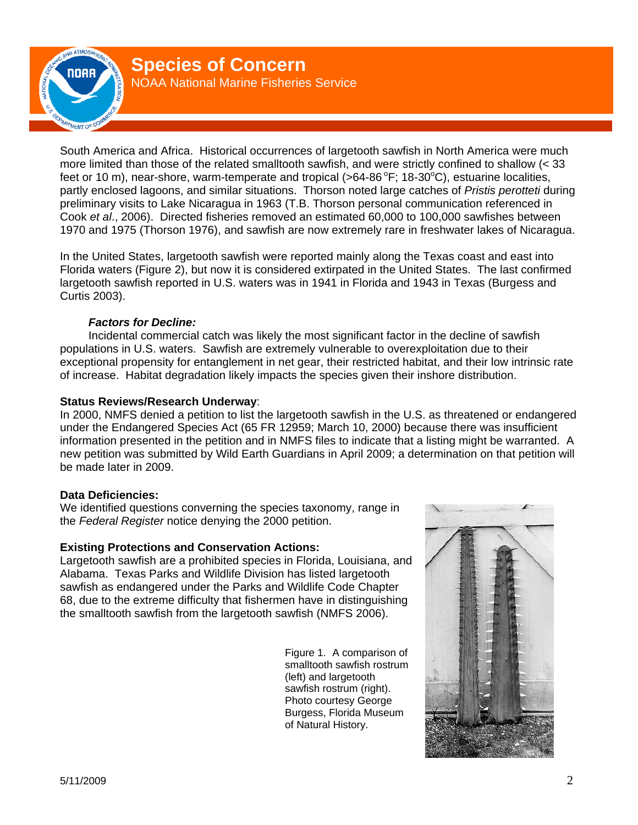

South America and Africa. Historical occurrences of largetooth sawfish in North America were much more limited than those of the related smalltooth sawfish, and were strictly confined to shallow (< 33 feet or 10 m), near-shore, warm-temperate and tropical (>64-86  $\degree$ F; 18-30 $\degree$ C), estuarine localities, partly enclosed lagoons, and similar situations. Thorson noted large catches of *Pristis perotteti* during preliminary visits to Lake Nicaragua in 1963 (T.B. Thorson personal communication referenced in Cook *et al*., 2006). Directed fisheries removed an estimated 60,000 to 100,000 sawfishes between 1970 and 1975 (Thorson 1976), and sawfish are now extremely rare in freshwater lakes of Nicaragua.

In the United States, largetooth sawfish were reported mainly along the Texas coast and east into Florida waters (Figure 2), but now it is considered extirpated in the United States. The last confirmed largetooth sawfish reported in U.S. waters was in 1941 in Florida and 1943 in Texas (Burgess and Curtis 2003).

# **Factors for Decline:**

Incidental commercial catch was likely the most significant factor in the decline of sawfish populations in U.S. waters. Sawfish are extremely vulnerable to overexploitation due to their exceptional propensity for entanglement in net gear, their restricted habitat, and their low intrinsic rate of increase. Habitat degradation likely impacts the species given their inshore distribution.

# **Status Reviews/Research Underway**:

In 2000, NMFS denied a petition to list the largetooth sawfish in the U.S. as threatened or endangered under the Endangered Species Act (65 FR 12959; March 10, 2000) because there was insufficient information presented in the petition and in NMFS files to indicate that a listing might be warranted. A new petition was submitted by Wild Earth Guardians in April 2009; a determination on that petition will be made later in 2009.

# **Data Deficiencies:**

We identified questions converning the species taxonomy, range in the *Federal Register* notice denying the 2000 petition.

#### **Existing Protections and Conservation Actions:**

Largetooth sawfish are a prohibited species in Florida, Louisiana, and Alabama. Texas Parks and Wildlife Division has listed largetooth sawfish as endangered under the Parks and Wildlife Code Chapter 68, due to the extreme difficulty that fishermen have in distinguishing the smalltooth sawfish from the largetooth sawfish (NMFS 2006).

> Figure 1. A comparison of smalltooth sawfish rostrum (left) and largetooth sawfish rostrum (right). Photo courtesy George Burgess, Florida Museum of Natural History.

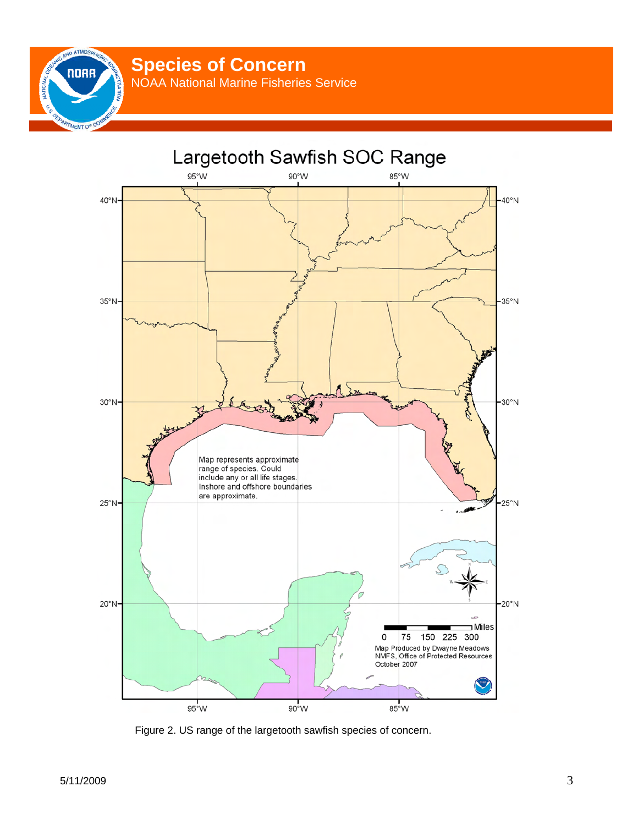**Species of Concern** 

NOAA National Marine Fisheries Service



Figure 2. US range of the largetooth sawfish species of concern.

ND ATMOSP **NORR** 

MENT

**ATIONA**